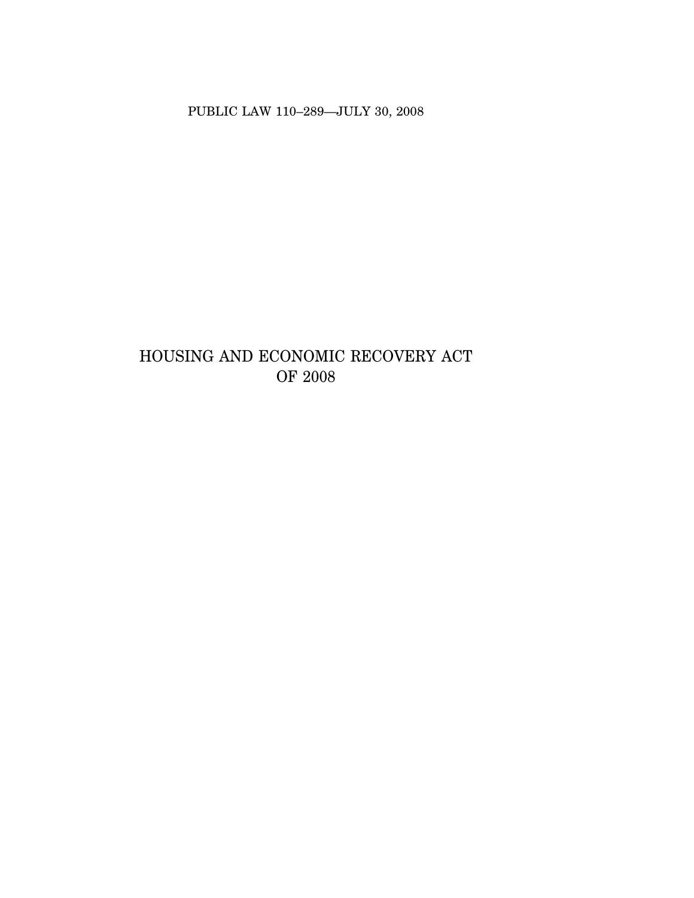PUBLIC LAW 110-289-JULY 30, 2008

# HOUSING AND ECONOMIC RECOVERY ACT OF  $2008$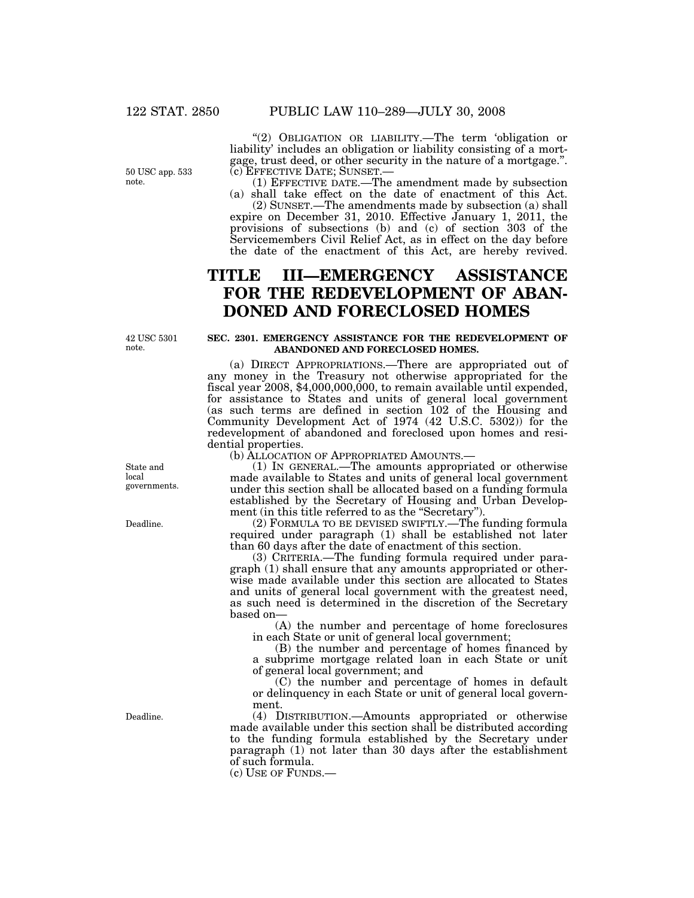50 USC app. 533 note.

"(2) OBLIGATION OR LIABILITY.—The term 'obligation or liability' includes an obligation or liability consisting of a mortgage, trust deed, or other security in the nature of a mortgage.".<br>(c) EFFECTIVE DATE: SUNSET.—

 $(1)$  EFFECTIVE DATE.—The amendment made by subsection (a) shall take effect on the date of enactment of this Act.

(2) SUNSET.—The amendments made by subsection (a) shall expire on December 31, 2010. Effective January 1, 2011, the provisions of subsections (b) and (c) of section 303 of the Servicemembers Civil Relief Act, as in effect on the day before the date of the enactment of this Act, are hereby revived.

# **TITLE III—EMERGENCY ASSISTANCE FOR THE REDEVELOPMENT OF ABAN-DONED AND FORECLOSED HOMES**

42 USC 5301 note.

## **SEC. 2301. EMERGENCY ASSISTANCE FOR THE REDEVELOPMENT OF ABANDONED AND FORECLOSED HOMES.**

(a) DIRECT APPROPRIATIONS.—There are appropriated out of any money in the Treasury not otherwise appropriated for the fiscal year 2008, \$4,000,000,000, to remain available until expended, for assistance to States and units of general local government (as such terms are defined in section 102 of the Housing and Community Development Act of 1974 (42 U.S.C. 5302)) for the redevelopment of abandoned and foreclosed upon homes and residential properties.

(b) ALLOCATION OF APPROPRIATED AMOUNTS.—

(1) IN GENERAL.—The amounts appropriated or otherwise made available to States and units of general local government under this section shall be allocated based on a funding formula established by the Secretary of Housing and Urban Development (in this title referred to as the "Secretary").

(2) FORMULA TO BE DEVISED SWIFTLY.—The funding formula required under paragraph (1) shall be established not later than 60 days after the date of enactment of this section.

(3) CRITERIA.—The funding formula required under paragraph (1) shall ensure that any amounts appropriated or otherwise made available under this section are allocated to States and units of general local government with the greatest need, as such need is determined in the discretion of the Secretary based on—

(A) the number and percentage of home foreclosures in each State or unit of general local government;

(B) the number and percentage of homes financed by a subprime mortgage related loan in each State or unit of general local government; and

(C) the number and percentage of homes in default or delinquency in each State or unit of general local government.

(4) DISTRIBUTION.—Amounts appropriated or otherwise made available under this section shall be distributed according to the funding formula established by the Secretary under paragraph (1) not later than 30 days after the establishment of such formula.

(c) USE OF FUNDS.—

State and local governments.

Deadline.

Deadline.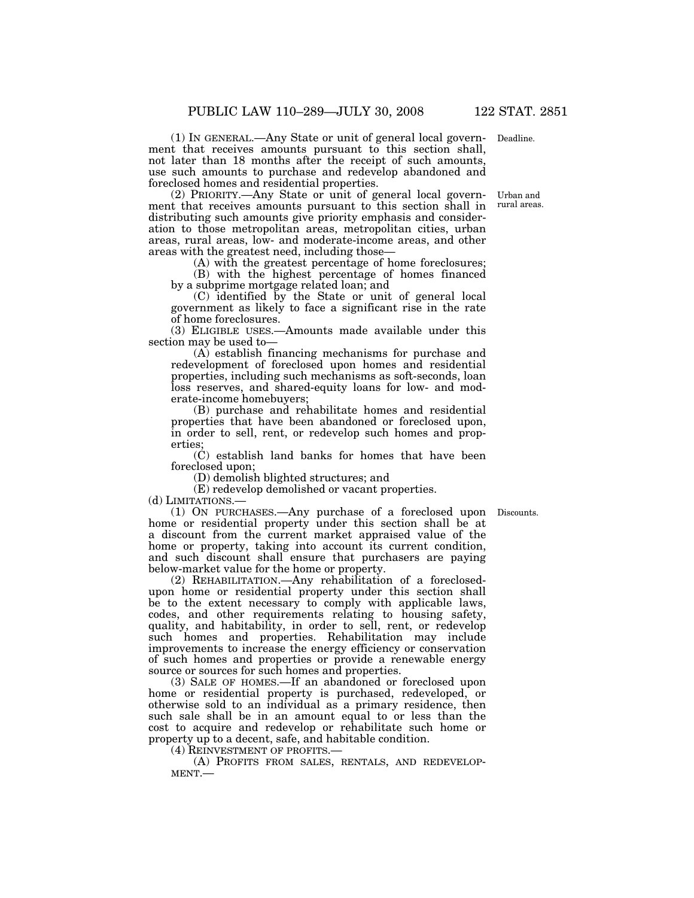ment that receives amounts pursuant to this section shall, not later than 18 months after the receipt of such amounts, use such amounts to purchase and redevelop abandoned and foreclosed homes and residential properties. (1) IN GENERAL.—Any State or unit of general local govern- Deadline.

ment that receives amounts pursuant to this section shall in distributing such amounts give priority emphasis and consideration to those metropolitan areas, metropolitan cities, urban areas, rural areas, low- and moderate-income areas, and other areas with the greatest need, including those— (2) PRIORITY.—Any State or unit of general local govern- Urban and

(A) with the greatest percentage of home foreclosures;

(B) with the highest percentage of homes financed by a subprime mortgage related loan; and

(C) identified by the State or unit of general local government as likely to face a significant rise in the rate of home foreclosures.

(3) ELIGIBLE USES.—Amounts made available under this section may be used to—

(A) establish financing mechanisms for purchase and redevelopment of foreclosed upon homes and residential properties, including such mechanisms as soft-seconds, loan loss reserves, and shared-equity loans for low- and moderate-income homebuyers;

(B) purchase and rehabilitate homes and residential properties that have been abandoned or foreclosed upon, in order to sell, rent, or redevelop such homes and properties;

(C) establish land banks for homes that have been foreclosed upon;

(D) demolish blighted structures; and

(E) redevelop demolished or vacant properties.

(d) LIMITATIONS.—

(1) ON PURCHASES.—Any purchase of a foreclosed upon Discounts. home or residential property under this section shall be at a discount from the current market appraised value of the home or property, taking into account its current condition, and such discount shall ensure that purchasers are paying below-market value for the home or property.

(2) REHABILITATION.—Any rehabilitation of a foreclosedupon home or residential property under this section shall be to the extent necessary to comply with applicable laws, codes, and other requirements relating to housing safety, quality, and habitability, in order to sell, rent, or redevelop such homes and properties. Rehabilitation may include improvements to increase the energy efficiency or conservation of such homes and properties or provide a renewable energy source or sources for such homes and properties.

(3) SALE OF HOMES.—If an abandoned or foreclosed upon home or residential property is purchased, redeveloped, or otherwise sold to an individual as a primary residence, then such sale shall be in an amount equal to or less than the cost to acquire and redevelop or rehabilitate such home or property up to a decent, safe, and habitable condition.

(4) REINVESTMENT OF PROFITS.—<br>
(A) PROFITS FROM SALES, RENTALS, AND REDEVELOP-<br>
MENT.—

rural areas.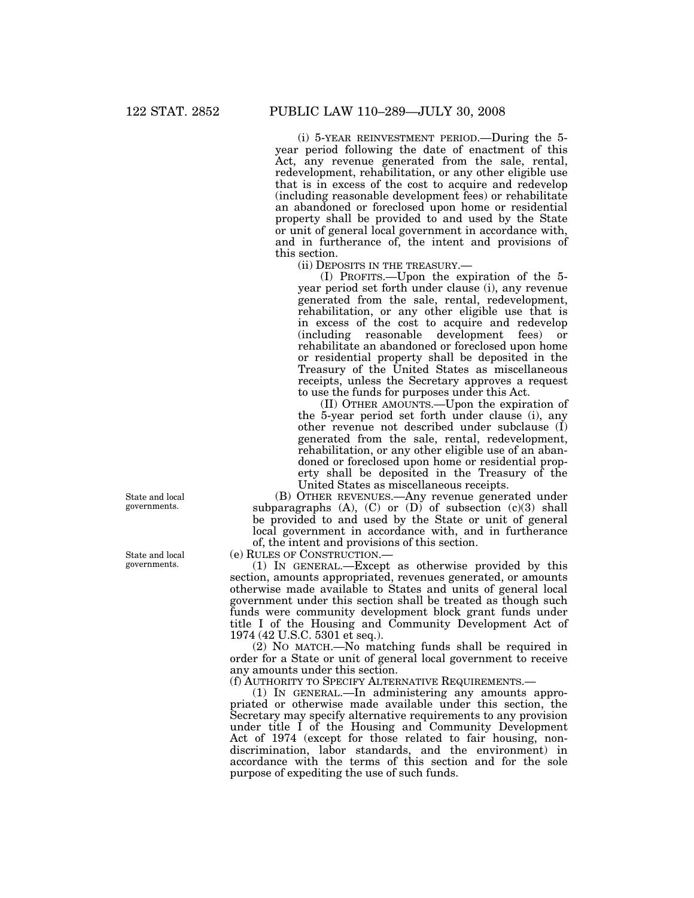(i) 5-YEAR REINVESTMENT PERIOD.—During the 5 year period following the date of enactment of this Act, any revenue generated from the sale, rental, redevelopment, rehabilitation, or any other eligible use that is in excess of the cost to acquire and redevelop (including reasonable development fees) or rehabilitate an abandoned or foreclosed upon home or residential property shall be provided to and used by the State or unit of general local government in accordance with, and in furtherance of, the intent and provisions of this section.

(ii) DEPOSITS IN THE TREASURY.—

(I) PROFITS.—Upon the expiration of the 5 year period set forth under clause (i), any revenue generated from the sale, rental, redevelopment, rehabilitation, or any other eligible use that is in excess of the cost to acquire and redevelop (including reasonable development fees) or rehabilitate an abandoned or foreclosed upon home or residential property shall be deposited in the Treasury of the United States as miscellaneous receipts, unless the Secretary approves a request to use the funds for purposes under this Act.

(II) OTHER AMOUNTS.—Upon the expiration of the 5-year period set forth under clause (i), any other revenue not described under subclause (I) generated from the sale, rental, redevelopment, rehabilitation, or any other eligible use of an abandoned or foreclosed upon home or residential property shall be deposited in the Treasury of the United States as miscellaneous receipts.

(B) OTHER REVENUES.—Any revenue generated under subparagraphs  $(A)$ ,  $(C)$  or  $(D)$  of subsection  $(c)(3)$  shall be provided to and used by the State or unit of general local government in accordance with, and in furtherance of, the intent and provisions of this section.

(e) RULES OF CONSTRUCTION.—

(1) IN GENERAL.—Except as otherwise provided by this section, amounts appropriated, revenues generated, or amounts otherwise made available to States and units of general local government under this section shall be treated as though such funds were community development block grant funds under title I of the Housing and Community Development Act of 1974 (42 U.S.C. 5301 et seq.).

(2) NO MATCH.—No matching funds shall be required in order for a State or unit of general local government to receive any amounts under this section.

(f) AUTHORITY TO SPECIFY ALTERNATIVE REQUIREMENTS.—

(1) IN GENERAL.—In administering any amounts appropriated or otherwise made available under this section, the Secretary may specify alternative requirements to any provision under title I of the Housing and Community Development Act of 1974 (except for those related to fair housing, nondiscrimination, labor standards, and the environment) in accordance with the terms of this section and for the sole purpose of expediting the use of such funds.

State and local governments.

State and local governments.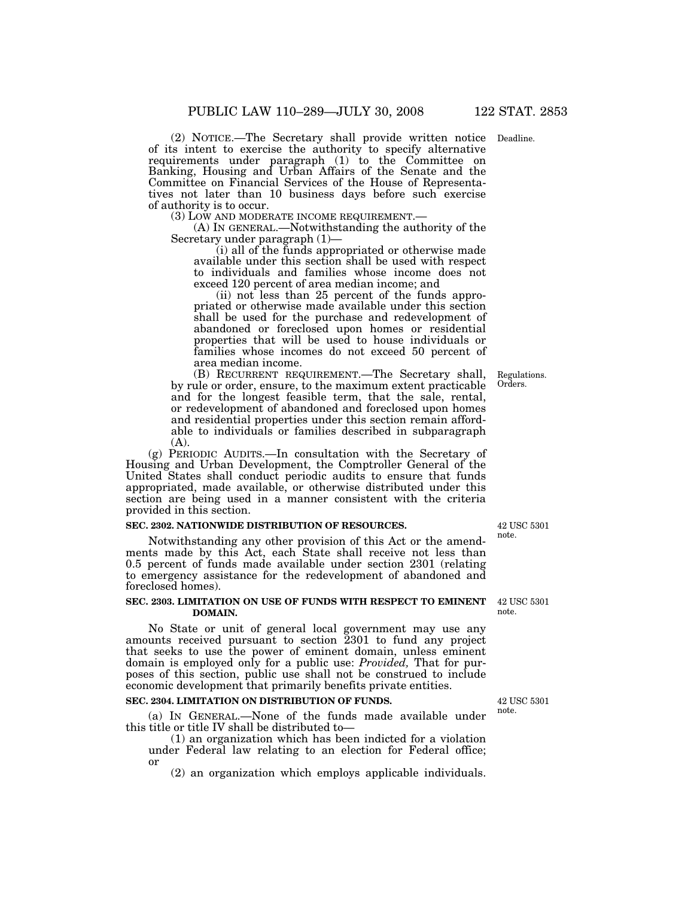(2) NOTICE.—The Secretary shall provide written notice Deadline. of its intent to exercise the authority to specify alternative requirements under paragraph (1) to the Committee on Banking, Housing and Urban Affairs of the Senate and the Committee on Financial Services of the House of Representa- tives not later than 10 business days before such exercise of authority is to occur.<br>(3) LOW AND MODERATE INCOME REQUIREMENT.—

(A) IN GENERAL.—Notwithstanding the authority of the Secretary under paragraph (1)—

(i) all of the funds appropriated or otherwise made available under this section shall be used with respect to individuals and families whose income does not exceed 120 percent of area median income; and<br>(ii) not less than 25 percent of the funds appro-

priated or otherwise made available under this section shall be used for the purchase and redevelopment of abandoned or foreclosed upon homes or residential properties that will be used to house individuals or families whose incomes do not exceed 50 percent of area median income.

(B) RECURRENT REQUIREMENT.—The Secretary shall, by rule or order, ensure, to the maximum extent practicable and for the longest feasible term, that the sale, rental, or redevelopment of abandoned and foreclosed upon homes and residential properties under this section remain affordable to individuals or families described in subparagraph (A).

(g) PERIODIC AUDITS.—In consultation with the Secretary of Housing and Urban Development, the Comptroller General of the United States shall conduct periodic audits to ensure that funds appropriated, made available, or otherwise distributed under this section are being used in a manner consistent with the criteria provided in this section.

#### **SEC. 2302. NATIONWIDE DISTRIBUTION OF RESOURCES.**

Notwithstanding any other provision of this Act or the amendments made by this Act, each State shall receive not less than 0.5 percent of funds made available under section 2301 (relating to emergency assistance for the redevelopment of abandoned and foreclosed homes).

#### **SEC. 2303. LIMITATION ON USE OF FUNDS WITH RESPECT TO EMINENT DOMAIN.**

No State or unit of general local government may use any amounts received pursuant to section 2301 to fund any project that seeks to use the power of eminent domain, unless eminent domain is employed only for a public use: *Provided,* That for pur- poses of this section, public use shall not be construed to include economic development that primarily benefits private entities.

### **SEC. 2304. LIMITATION ON DISTRIBUTION OF FUNDS.**

(a) IN GENERAL.—None of the funds made available under this title or title IV shall be distributed to—

(1) an organization which has been indicted for a violation under Federal law relating to an election for Federal office; or

(2) an organization which employs applicable individuals.

42 USC 5301 note.

Regulations. Orders.

42 USC 5301 note.

42 USC 5301 note.